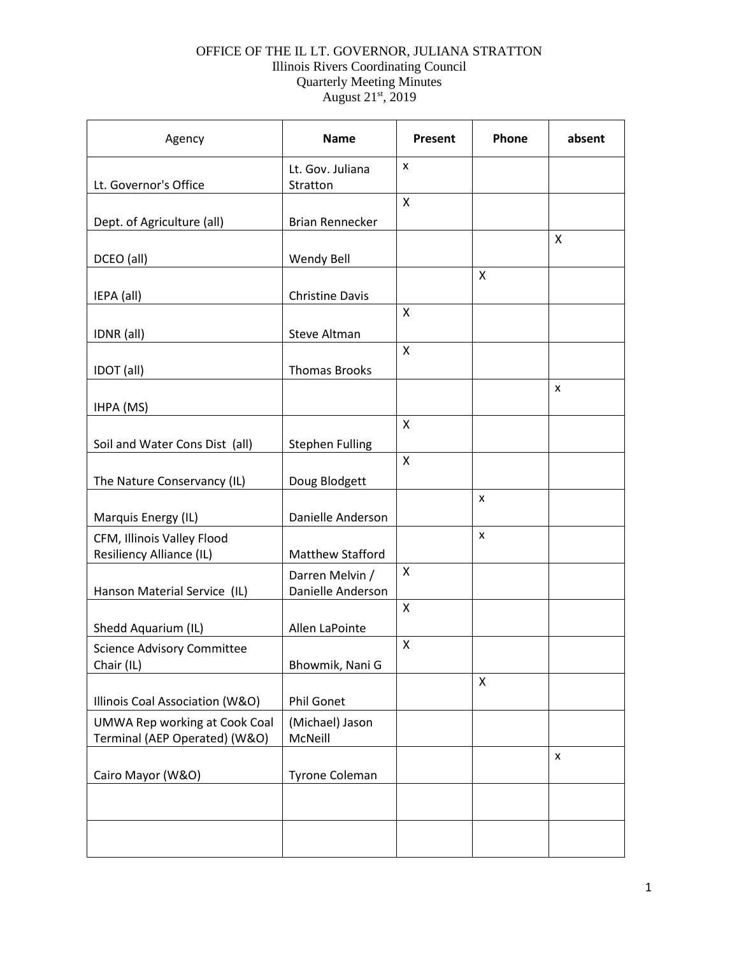## OFFICE OF THE IL LT. GOVERNOR, JULIANA STRATTON Illinois Rivers Coordinating Council Quarterly Meeting Minutes August 21st, 2019

| Agency                                                                | <b>Name</b>                          | Present            | Phone | absent |
|-----------------------------------------------------------------------|--------------------------------------|--------------------|-------|--------|
| Lt. Governor's Office                                                 | Lt. Gov. Juliana<br>Stratton         | x                  |       |        |
|                                                                       |                                      | $\mathsf{x}$       |       |        |
| Dept. of Agriculture (all)                                            | <b>Brian Rennecker</b>               |                    |       |        |
| DCEO (all)                                                            | <b>Wendy Bell</b>                    |                    |       | X      |
| IEPA (all)                                                            | <b>Christine Davis</b>               |                    | X     |        |
| IDNR (all)                                                            | Steve Altman                         | X                  |       |        |
| IDOT (all)                                                            | <b>Thomas Brooks</b>                 | X                  |       |        |
| IHPA (MS)                                                             |                                      |                    |       | X      |
| Soil and Water Cons Dist (all)                                        | <b>Stephen Fulling</b>               | X                  |       |        |
| The Nature Conservancy (IL)                                           | Doug Blodgett                        | $\mathsf{x}$       |       |        |
| Marquis Energy (IL)                                                   | Danielle Anderson                    |                    | X     |        |
| CFM, Illinois Valley Flood<br>Resiliency Alliance (IL)                | Matthew Stafford                     |                    | X     |        |
| Hanson Material Service (IL)                                          | Darren Melvin /<br>Danielle Anderson | X                  |       |        |
| Shedd Aquarium (IL)                                                   | Allen LaPointe                       | $\pmb{\mathsf{X}}$ |       |        |
| <b>Science Advisory Committee</b><br>Chair (IL)                       | Bhowmik, Nani G                      | X                  |       |        |
| Illinois Coal Association (W&O)                                       | Phil Gonet                           |                    | X     |        |
| <b>UMWA Rep working at Cook Coal</b><br>Terminal (AEP Operated) (W&O) | (Michael) Jason<br>McNeill           |                    |       |        |
| Cairo Mayor (W&O)                                                     | Tyrone Coleman                       |                    |       | X      |
|                                                                       |                                      |                    |       |        |
|                                                                       |                                      |                    |       |        |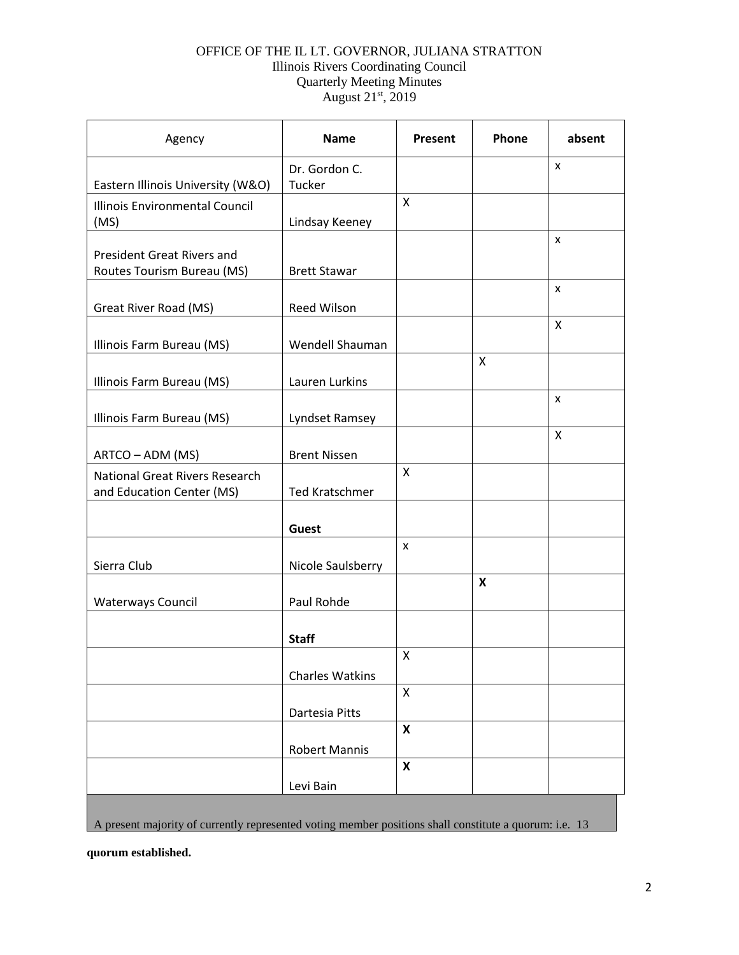## OFFICE OF THE IL LT. GOVERNOR, JULIANA STRATTON Illinois Rivers Coordinating Council Quarterly Meeting Minutes August 21<sup>st</sup>, 2019

| Agency                                                      | <b>Name</b>             | Present            | Phone | absent |
|-------------------------------------------------------------|-------------------------|--------------------|-------|--------|
| Eastern Illinois University (W&O)                           | Dr. Gordon C.<br>Tucker |                    |       | X      |
| Illinois Environmental Council<br>(MS)                      | Lindsay Keeney          | X                  |       |        |
| <b>President Great Rivers and</b>                           |                         |                    |       | X      |
| Routes Tourism Bureau (MS)                                  | <b>Brett Stawar</b>     |                    |       | X      |
| Great River Road (MS)                                       | Reed Wilson             |                    |       |        |
| Illinois Farm Bureau (MS)                                   | Wendell Shauman         |                    |       | X      |
| Illinois Farm Bureau (MS)                                   | Lauren Lurkins          |                    | X     |        |
| Illinois Farm Bureau (MS)                                   | Lyndset Ramsey          |                    |       | X      |
| ARTCO - ADM (MS)                                            | <b>Brent Nissen</b>     |                    |       | X      |
| National Great Rivers Research<br>and Education Center (MS) | <b>Ted Kratschmer</b>   | X                  |       |        |
|                                                             | <b>Guest</b>            |                    |       |        |
| Sierra Club                                                 | Nicole Saulsberry       | X                  |       |        |
| <b>Waterways Council</b>                                    | Paul Rohde              |                    | X     |        |
|                                                             | <b>Staff</b>            |                    |       |        |
|                                                             | <b>Charles Watkins</b>  | X                  |       |        |
|                                                             |                         | X                  |       |        |
|                                                             | Dartesia Pitts          | $\pmb{\mathsf{X}}$ |       |        |
|                                                             | <b>Robert Mannis</b>    | $\pmb{\mathsf{X}}$ |       |        |
|                                                             | Levi Bain               |                    |       |        |
|                                                             |                         |                    |       |        |

A present majority of currently represented voting member positions shall constitute a quorum: i.e. 13

**quorum established.**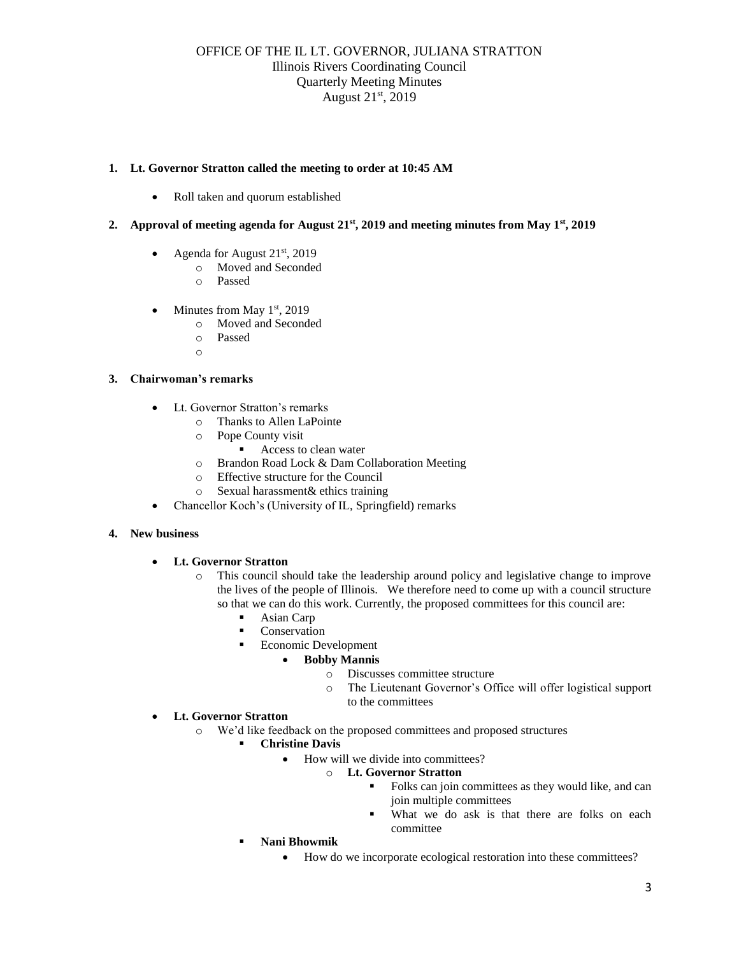### **1. Lt. Governor Stratton called the meeting to order at 10:45 AM**

• Roll taken and quorum established

## **2. Approval of meeting agenda for August 21st, 2019 and meeting minutes from May 1st, 2019**

- Agenda for August 21<sup>st</sup>, 2019
	- o Moved and Seconded
	- o Passed
- Minutes from May  $1<sup>st</sup>$ , 2019
	- o Moved and Seconded
	- o Passed
	- o

## **3. Chairwoman's remarks**

- Lt. Governor Stratton's remarks
	- o Thanks to Allen LaPointe
	- o Pope County visit
		- Access to clean water
	- o Brandon Road Lock & Dam Collaboration Meeting
	- o Effective structure for the Council
	- o Sexual harassment& ethics training
- Chancellor Koch's (University of IL, Springfield) remarks

### **4. New business**

- **Lt. Governor Stratton**
	- o This council should take the leadership around policy and legislative change to improve the lives of the people of Illinois. We therefore need to come up with a council structure so that we can do this work. Currently, the proposed committees for this council are:
		- Asian Carp
		- Conservation
		- Economic Development
			- **Bobby Mannis**
				- o Discusses committee structure
				- o The Lieutenant Governor's Office will offer logistical support to the committees
- **Lt. Governor Stratton**
	- o We'd like feedback on the proposed committees and proposed structures
		- **Christine Davis**
			- How will we divide into committees?
				- o **Lt. Governor Stratton**
					- Folks can join committees as they would like, and can join multiple committees
					- What we do ask is that there are folks on each committee
		- **Nani Bhowmik**
			- How do we incorporate ecological restoration into these committees?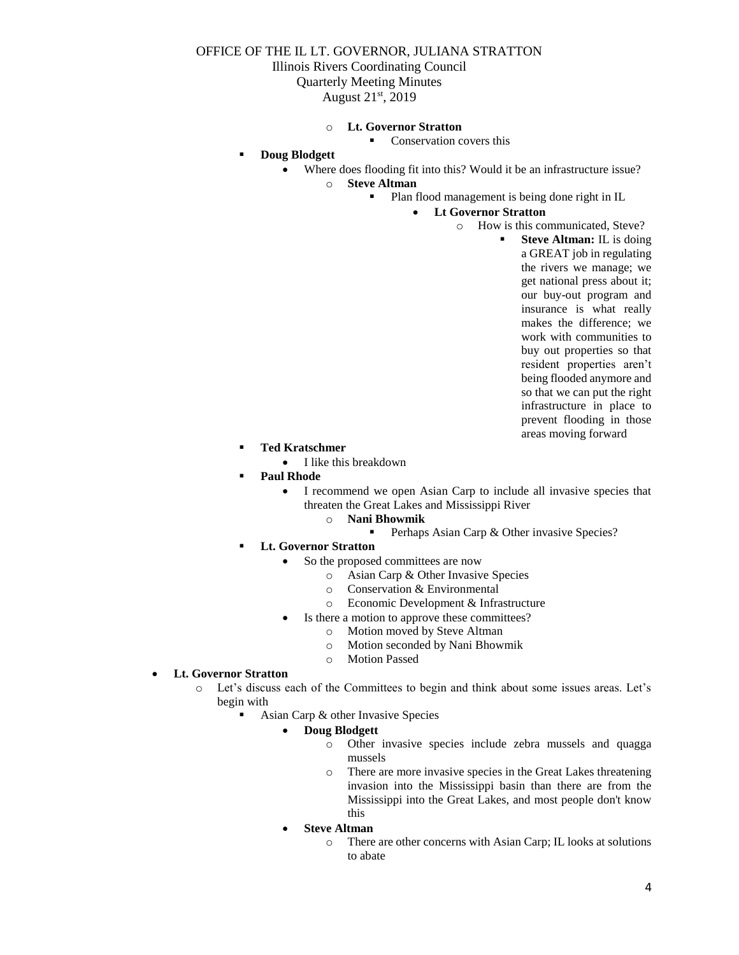## OFFICE OF THE IL LT. GOVERNOR, JULIANA STRATTON Illinois Rivers Coordinating Council Quarterly Meeting Minutes August 21st, 2019

#### o **Lt. Governor Stratton**

Conservation covers this

- **Doug Blodgett**
	- Where does flooding fit into this? Would it be an infrastructure issue?
		- o **Steve Altman**
			- Plan flood management is being done right in IL
				- **Lt Governor Stratton**
					- o How is this communicated, Steve?
						- **Steve Altman:** IL is doing a GREAT job in regulating the rivers we manage; we get national press about it; our buy-out program and insurance is what really makes the difference; we work with communities to buy out properties so that resident properties aren't being flooded anymore and so that we can put the right infrastructure in place to prevent flooding in those areas moving forward
- **Ted Kratschmer**
	- I like this breakdown
- **Paul Rhode** 
	- I recommend we open Asian Carp to include all invasive species that threaten the Great Lakes and Mississippi River
		- o **Nani Bhowmik**
			- Perhaps Asian Carp & Other invasive Species?
- **Lt. Governor Stratton** 
	- So the proposed committees are now
		- o Asian Carp & Other Invasive Species
		- o Conservation & Environmental
		- o Economic Development & Infrastructure
		- Is there a motion to approve these committees?
			- o Motion moved by Steve Altman
			- o Motion seconded by Nani Bhowmik
			- o Motion Passed

#### • **Lt. Governor Stratton**

- o Let's discuss each of the Committees to begin and think about some issues areas. Let's begin with
	- Asian Carp & other Invasive Species

### • **Doug Blodgett**

- o Other invasive species include zebra mussels and quagga mussels
- o There are more invasive species in the Great Lakes threatening invasion into the Mississippi basin than there are from the Mississippi into the Great Lakes, and most people don't know this
- **Steve Altman**
	- o There are other concerns with Asian Carp; IL looks at solutions to abate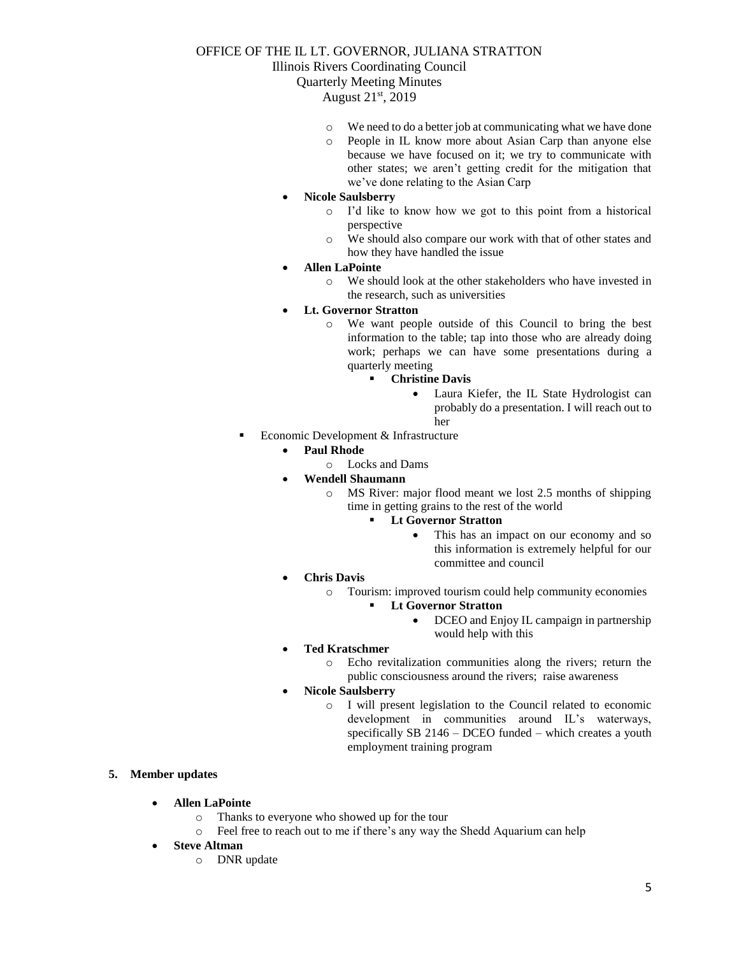# OFFICE OF THE IL LT. GOVERNOR, JULIANA STRATTON

Illinois Rivers Coordinating Council

Quarterly Meeting Minutes

August 21st, 2019

- o We need to do a better job at communicating what we have done
- o People in IL know more about Asian Carp than anyone else because we have focused on it; we try to communicate with other states; we aren't getting credit for the mitigation that we've done relating to the Asian Carp
- **Nicole Saulsberry**
	- o I'd like to know how we got to this point from a historical perspective
	- o We should also compare our work with that of other states and how they have handled the issue
- **Allen LaPointe**
	- o We should look at the other stakeholders who have invested in the research, such as universities
- **Lt. Governor Stratton**
	- o We want people outside of this Council to bring the best information to the table; tap into those who are already doing work; perhaps we can have some presentations during a quarterly meeting
		- **Christine Davis**
			- Laura Kiefer, the IL State Hydrologist can probably do a presentation. I will reach out to her
- Economic Development & Infrastructure
	- **Paul Rhode**
		- o Locks and Dams
	- **Wendell Shaumann**
		- o MS River: major flood meant we lost 2.5 months of shipping time in getting grains to the rest of the world
			- **Lt Governor Stratton** 
				- This has an impact on our economy and so this information is extremely helpful for our committee and council
	- **Chris Davis**
		- o Tourism: improved tourism could help community economies

### ▪ **Lt Governor Stratton**

- DCEO and Enjoy IL campaign in partnership would help with this
- **Ted Kratschmer**
	- o Echo revitalization communities along the rivers; return the public consciousness around the rivers; raise awareness
- **Nicole Saulsberry**
	- o I will present legislation to the Council related to economic development in communities around IL's waterways, specifically SB 2146 – DCEO funded – which creates a youth employment training program

### **5. Member updates**

- **Allen LaPointe**
	- o Thanks to everyone who showed up for the tour
	- o Feel free to reach out to me if there's any way the Shedd Aquarium can help
- **Steve Altman**
	- o DNR update